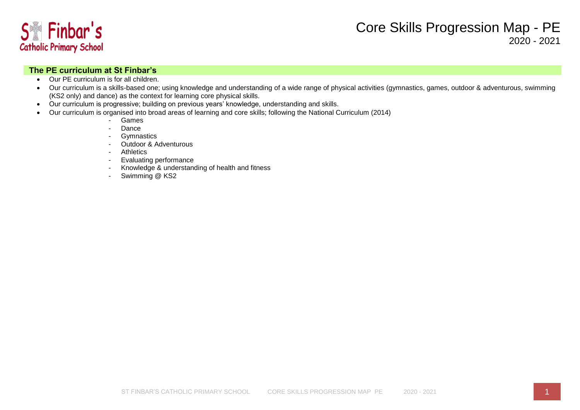

## Core Skills Progression Map - PE 2020 - 2021

## **The PE curriculum at St Finbar's**

- Our PE curriculum is for all children.
- Our curriculum is a skills-based one; using knowledge and understanding of a wide range of physical activities (gymnastics, games, outdoor & adventurous, swimming (KS2 only) and dance) as the context for learning core physical skills.
- Our curriculum is progressive; building on previous years' knowledge, understanding and skills.
- Our curriculum is organised into broad areas of learning and core skills; following the National Curriculum (2014)
	- **Games**
	- **Dance**
	- **Gymnastics**
	- Outdoor & Adventurous
	- **Athletics**
	- Evaluating performance
	- Knowledge & understanding of health and fitness
	- Swimming @ KS2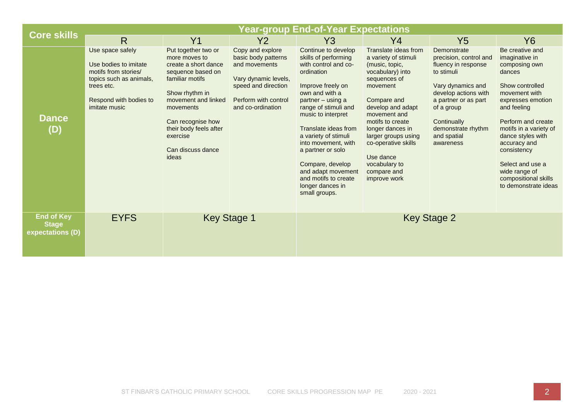| <b>Core skills</b>                                    | <b>Year-group End-of-Year Expectations</b>                                                                                                            |                                                                                                                                                                                                                                                     |                                                                                                                                                      |                                                                                                                                                                                                                                                                                                                                                                                                  |                                                                                                                                                                                                                                                                                                                       |                                                                                                                                                                                                                                |                                                                                                                                                                                                                                                                                                                               |  |
|-------------------------------------------------------|-------------------------------------------------------------------------------------------------------------------------------------------------------|-----------------------------------------------------------------------------------------------------------------------------------------------------------------------------------------------------------------------------------------------------|------------------------------------------------------------------------------------------------------------------------------------------------------|--------------------------------------------------------------------------------------------------------------------------------------------------------------------------------------------------------------------------------------------------------------------------------------------------------------------------------------------------------------------------------------------------|-----------------------------------------------------------------------------------------------------------------------------------------------------------------------------------------------------------------------------------------------------------------------------------------------------------------------|--------------------------------------------------------------------------------------------------------------------------------------------------------------------------------------------------------------------------------|-------------------------------------------------------------------------------------------------------------------------------------------------------------------------------------------------------------------------------------------------------------------------------------------------------------------------------|--|
|                                                       | R                                                                                                                                                     | Y1                                                                                                                                                                                                                                                  | Y2                                                                                                                                                   | Y3                                                                                                                                                                                                                                                                                                                                                                                               | Y4                                                                                                                                                                                                                                                                                                                    | Y <sub>5</sub>                                                                                                                                                                                                                 | <b>Y6</b>                                                                                                                                                                                                                                                                                                                     |  |
| <b>Dance</b><br>$\left(\mathsf{D}\right)$             | Use space safely<br>Use bodies to imitate<br>motifs from stories/<br>topics such as animals,<br>trees etc.<br>Respond with bodies to<br>imitate music | Put together two or<br>more moves to<br>create a short dance<br>sequence based on<br>familiar motifs<br>Show rhythm in<br>movement and linked<br>movements<br>Can recognise how<br>their body feels after<br>exercise<br>Can discuss dance<br>ideas | Copy and explore<br>basic body patterns<br>and movements<br>Vary dynamic levels,<br>speed and direction<br>Perform with control<br>and co-ordination | Continue to develop<br>skills of performing<br>with control and co-<br>ordination<br>Improve freely on<br>own and with a<br>partner $-$ using a<br>range of stimuli and<br>music to interpret<br>Translate ideas from<br>a variety of stimuli<br>into movement, with<br>a partner or solo<br>Compare, develop<br>and adapt movement<br>and motifs to create<br>longer dances in<br>small groups. | Translate ideas from<br>a variety of stimuli<br>(music, topic,<br>vocabulary) into<br>sequences of<br>movement<br>Compare and<br>develop and adapt<br>movement and<br>motifs to create<br>longer dances in<br>larger groups using<br>co-operative skills<br>Use dance<br>vocabulary to<br>compare and<br>improve work | Demonstrate<br>precision, control and<br>fluency in response<br>to stimuli<br>Vary dynamics and<br>develop actions with<br>a partner or as part<br>of a group<br>Continually<br>demonstrate rhythm<br>and spatial<br>awareness | Be creative and<br>imaginative in<br>composing own<br>dances<br>Show controlled<br>movement with<br>expresses emotion<br>and feeling<br>Perform and create<br>motifs in a variety of<br>dance styles with<br>accuracy and<br>consistency<br>Select and use a<br>wide range of<br>compositional skills<br>to demonstrate ideas |  |
| <b>End of Key</b><br><b>Stage</b><br>expectations (D) | <b>EYFS</b>                                                                                                                                           | <b>Key Stage 1</b>                                                                                                                                                                                                                                  |                                                                                                                                                      | <b>Key Stage 2</b>                                                                                                                                                                                                                                                                                                                                                                               |                                                                                                                                                                                                                                                                                                                       |                                                                                                                                                                                                                                |                                                                                                                                                                                                                                                                                                                               |  |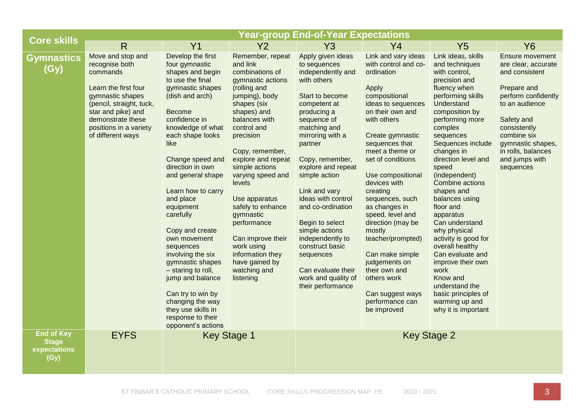| <b>Core skills</b>                                        | <b>Year-group End-of-Year Expectations</b>                                                                                                                                                                        |                                                                                                                                                                                                                                                                                                                                                                                                                                                                                                                                                                              |                                                                                                                                                                                                                                                                                                                                                                                                                                                     |                                                                                                                                                                                                                                                                                                                                                                                                                                                                        |                                                                                                                                                                                                                                                                                                                                                                                                                                                                                                                   |                                                                                                                                                                                                                                                                                                                                                                                                                                                                                                                                                                                     |                                                                                                                                                                                                                                                |  |
|-----------------------------------------------------------|-------------------------------------------------------------------------------------------------------------------------------------------------------------------------------------------------------------------|------------------------------------------------------------------------------------------------------------------------------------------------------------------------------------------------------------------------------------------------------------------------------------------------------------------------------------------------------------------------------------------------------------------------------------------------------------------------------------------------------------------------------------------------------------------------------|-----------------------------------------------------------------------------------------------------------------------------------------------------------------------------------------------------------------------------------------------------------------------------------------------------------------------------------------------------------------------------------------------------------------------------------------------------|------------------------------------------------------------------------------------------------------------------------------------------------------------------------------------------------------------------------------------------------------------------------------------------------------------------------------------------------------------------------------------------------------------------------------------------------------------------------|-------------------------------------------------------------------------------------------------------------------------------------------------------------------------------------------------------------------------------------------------------------------------------------------------------------------------------------------------------------------------------------------------------------------------------------------------------------------------------------------------------------------|-------------------------------------------------------------------------------------------------------------------------------------------------------------------------------------------------------------------------------------------------------------------------------------------------------------------------------------------------------------------------------------------------------------------------------------------------------------------------------------------------------------------------------------------------------------------------------------|------------------------------------------------------------------------------------------------------------------------------------------------------------------------------------------------------------------------------------------------|--|
|                                                           | R                                                                                                                                                                                                                 | Y <sub>1</sub>                                                                                                                                                                                                                                                                                                                                                                                                                                                                                                                                                               | <b>Y2</b>                                                                                                                                                                                                                                                                                                                                                                                                                                           | Y <sub>3</sub>                                                                                                                                                                                                                                                                                                                                                                                                                                                         | <b>Y4</b>                                                                                                                                                                                                                                                                                                                                                                                                                                                                                                         | Y <sub>5</sub>                                                                                                                                                                                                                                                                                                                                                                                                                                                                                                                                                                      | <b>Y6</b>                                                                                                                                                                                                                                      |  |
| Gymnastics<br>(Gy)                                        | Move and stop and<br>recognise both<br>commands<br>Learn the first four<br>gymnastic shapes<br>(pencil, straight, tuck,<br>star and pike) and<br>demonstrate these<br>positions in a variety<br>of different ways | Develop the first<br>four gymnastic<br>shapes and begin<br>to use the final<br>gymnastic shapes<br>(dish and arch)<br><b>Become</b><br>confidence in<br>knowledge of what<br>each shape looks<br>like<br>Change speed and<br>direction in own<br>and general shape<br>Learn how to carry<br>and place<br>equipment<br>carefully<br>Copy and create<br>own movement<br>sequences<br>involving the six<br>gymnastic shapes<br>- staring to roll,<br>jump and balance<br>Can try to win by<br>changing the way<br>they use skills in<br>response to their<br>opponent's actions | Remember, repeat<br>and link<br>combinations of<br>gymnastic actions<br>(rolling and<br>jumping), body<br>shapes (six<br>shapes) and<br>balances with<br>control and<br>precision<br>Copy, remember,<br>explore and repeat<br>simple actions<br>varying speed and<br>levels<br>Use apparatus<br>safely to enhance<br>gymnastic<br>performance<br>Can improve their<br>work using<br>information they<br>have gained by<br>watching and<br>listening | Apply given ideas<br>to sequences<br>independently and<br>with others<br>Start to become<br>competent at<br>producing a<br>sequence of<br>matching and<br>mirroring with a<br>partner<br>Copy, remember,<br>explore and repeat<br>simple action<br>Link and vary<br>ideas with control<br>and co-ordination<br>Begin to select<br>simple actions<br>independently to<br>construct basic<br>sequences<br>Can evaluate their<br>work and quality of<br>their performance | Link and vary ideas<br>with control and co-<br>ordination<br>Apply<br>compositional<br>ideas to sequences<br>on their own and<br>with others<br>Create gymnastic<br>sequences that<br>meet a theme or<br>set of conditions<br>Use compositional<br>devices with<br>creating<br>sequences, such<br>as changes in<br>speed, level and<br>direction (may be<br>mostly<br>teacher/prompted)<br>Can make simple<br>judgements on<br>their own and<br>others work<br>Can suggest ways<br>performance can<br>be improved | Link ideas, skills<br>and techniques<br>with control,<br>precision and<br>fluency when<br>performing skills<br>Understand<br>composition by<br>performing more<br>complex<br>sequences<br>Sequences include<br>changes in<br>direction level and<br>speed<br>(independent)<br>Combine actions<br>shapes and<br>balances using<br>floor and<br>apparatus<br>Can understand<br>why physical<br>activity is good for<br>overall healthy<br>Can evaluate and<br>improve their own<br>work<br>Know and<br>understand the<br>basic principles of<br>warming up and<br>why it is important | <b>Ensure movement</b><br>are clear, accurate<br>and consistent<br>Prepare and<br>perform confidently<br>to an audience<br>Safety and<br>consistently<br>combine six<br>gymnastic shapes,<br>in rolls, balances<br>and jumps with<br>sequences |  |
| <b>End of Key</b><br><b>Stage</b><br>expectations<br>(Gy) | <b>EYFS</b>                                                                                                                                                                                                       | <b>Key Stage 1</b>                                                                                                                                                                                                                                                                                                                                                                                                                                                                                                                                                           |                                                                                                                                                                                                                                                                                                                                                                                                                                                     |                                                                                                                                                                                                                                                                                                                                                                                                                                                                        |                                                                                                                                                                                                                                                                                                                                                                                                                                                                                                                   | <b>Key Stage 2</b>                                                                                                                                                                                                                                                                                                                                                                                                                                                                                                                                                                  |                                                                                                                                                                                                                                                |  |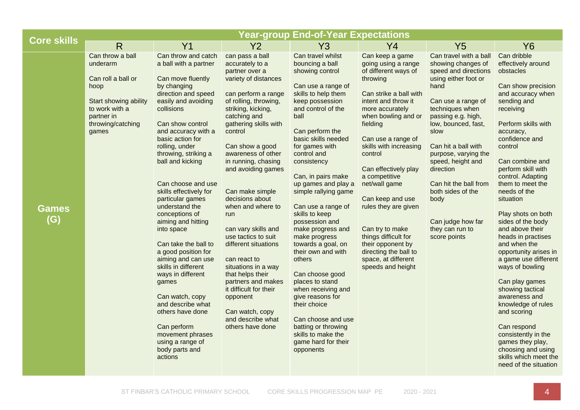|                     | <b>Year-group End-of-Year Expectations</b>                                                                                                        |                                                                                                                                                                                                                                                                                                                                                                                                                                                                                                                                                                                                                                                                                                 |                                                                                                                                                                                                                                                                                                                                                                                                                                                                                                                                                                                                                         |                                                                                                                                                                                                                                                                                                                                                                                                                                                                                                                                                                                                                                                                                   |                                                                                                                                                                                                                                                                                                                                                                                                                                                                                         |                                                                                                                                                                                                                                                                                                                                                                                                   |                                                                                                                                                                                                                                                                                                                                                                                                                                                                                                                                                                                                                                                                                                             |  |  |
|---------------------|---------------------------------------------------------------------------------------------------------------------------------------------------|-------------------------------------------------------------------------------------------------------------------------------------------------------------------------------------------------------------------------------------------------------------------------------------------------------------------------------------------------------------------------------------------------------------------------------------------------------------------------------------------------------------------------------------------------------------------------------------------------------------------------------------------------------------------------------------------------|-------------------------------------------------------------------------------------------------------------------------------------------------------------------------------------------------------------------------------------------------------------------------------------------------------------------------------------------------------------------------------------------------------------------------------------------------------------------------------------------------------------------------------------------------------------------------------------------------------------------------|-----------------------------------------------------------------------------------------------------------------------------------------------------------------------------------------------------------------------------------------------------------------------------------------------------------------------------------------------------------------------------------------------------------------------------------------------------------------------------------------------------------------------------------------------------------------------------------------------------------------------------------------------------------------------------------|-----------------------------------------------------------------------------------------------------------------------------------------------------------------------------------------------------------------------------------------------------------------------------------------------------------------------------------------------------------------------------------------------------------------------------------------------------------------------------------------|---------------------------------------------------------------------------------------------------------------------------------------------------------------------------------------------------------------------------------------------------------------------------------------------------------------------------------------------------------------------------------------------------|-------------------------------------------------------------------------------------------------------------------------------------------------------------------------------------------------------------------------------------------------------------------------------------------------------------------------------------------------------------------------------------------------------------------------------------------------------------------------------------------------------------------------------------------------------------------------------------------------------------------------------------------------------------------------------------------------------------|--|--|
| <b>Core skills</b>  | R                                                                                                                                                 | Y <sub>1</sub>                                                                                                                                                                                                                                                                                                                                                                                                                                                                                                                                                                                                                                                                                  | Y <sub>2</sub>                                                                                                                                                                                                                                                                                                                                                                                                                                                                                                                                                                                                          | <b>Y3</b>                                                                                                                                                                                                                                                                                                                                                                                                                                                                                                                                                                                                                                                                         | <b>Y4</b>                                                                                                                                                                                                                                                                                                                                                                                                                                                                               | Y <sub>5</sub>                                                                                                                                                                                                                                                                                                                                                                                    | <b>Y6</b>                                                                                                                                                                                                                                                                                                                                                                                                                                                                                                                                                                                                                                                                                                   |  |  |
| <b>Games</b><br>(G) | Can throw a ball<br>underarm<br>Can roll a ball or<br>hoop<br>Start showing ability<br>to work with a<br>partner in<br>throwing/catching<br>games | Can throw and catch<br>a ball with a partner<br>Can move fluently<br>by changing<br>direction and speed<br>easily and avoiding<br>collisions<br>Can show control<br>and accuracy with a<br>basic action for<br>rolling, under<br>throwing, striking a<br>ball and kicking<br>Can choose and use<br>skills effectively for<br>particular games<br>understand the<br>conceptions of<br>aiming and hitting<br>into space<br>Can take the ball to<br>a good position for<br>aiming and can use<br>skills in different<br>ways in different<br>games<br>Can watch, copy<br>and describe what<br>others have done<br>Can perform<br>movement phrases<br>using a range of<br>body parts and<br>actions | can pass a ball<br>accurately to a<br>partner over a<br>variety of distances<br>can perform a range<br>of rolling, throwing,<br>striking, kicking,<br>catching and<br>gathering skills with<br>control<br>Can show a good<br>awareness of other<br>in running, chasing<br>and avoiding games<br>Can make simple<br>decisions about<br>when and where to<br>run<br>can vary skills and<br>use tactics to suit<br>different situations<br>can react to<br>situations in a way<br>that helps their<br>partners and makes<br>it difficult for their<br>opponent<br>Can watch, copy<br>and describe what<br>others have done | Can travel whilst<br>bouncing a ball<br>showing control<br>Can use a range of<br>skills to help them<br>keep possession<br>and control of the<br>ball<br>Can perform the<br>basic skills needed<br>for games with<br>control and<br>consistency<br>Can, in pairs make<br>up games and play a<br>simple rallying game<br>Can use a range of<br>skills to keep<br>possession and<br>make progress and<br>make progress<br>towards a goal, on<br>their own and with<br>others<br>Can choose good<br>places to stand<br>when receiving and<br>give reasons for<br>their choice<br>Can choose and use<br>batting or throwing<br>skills to make the<br>game hard for their<br>opponents | Can keep a game<br>going using a range<br>of different ways of<br>throwing<br>Can strike a ball with<br>intent and throw it<br>more accurately<br>when bowling and or<br>fielding<br>Can use a range of<br>skills with increasing<br>control<br>Can effectively play<br>a competitive<br>net/wall game<br>Can keep and use<br>rules they are given<br>Can try to make<br>things difficult for<br>their opponent by<br>directing the ball to<br>space, at different<br>speeds and height | Can travel with a ball<br>showing changes of<br>speed and directions<br>using either foot or<br>hand<br>Can use a range of<br>techniques when<br>passing e.g. high,<br>low, bounced, fast,<br>slow<br>Can hit a ball with<br>purpose, varying the<br>speed, height and<br>direction<br>Can hit the ball from<br>both sides of the<br>body<br>Can judge how far<br>they can run to<br>score points | Can dribble<br>effectively around<br>obstacles<br>Can show precision<br>and accuracy when<br>sending and<br>receiving<br>Perform skills with<br>accuracy,<br>confidence and<br>control<br>Can combine and<br>perform skill with<br>control. Adapting<br>them to meet the<br>needs of the<br>situation<br>Play shots on both<br>sides of the body<br>and above their<br>heads in practises<br>and when the<br>opportunity arises in<br>a game use different<br>ways of bowling<br>Can play games<br>showing tactical<br>awareness and<br>knowledge of rules<br>and scoring<br>Can respond<br>consistently in the<br>games they play,<br>choosing and using<br>skills which meet the<br>need of the situation |  |  |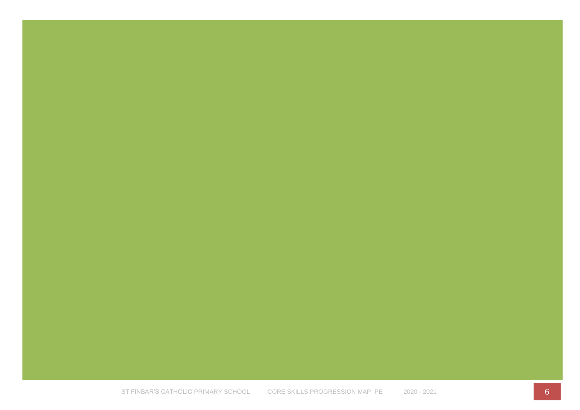ST FINBAR'S CATHOLIC PRIMARY SCHOOL CORE SKILLS PROGRESSION MAP PE 2020 - 2021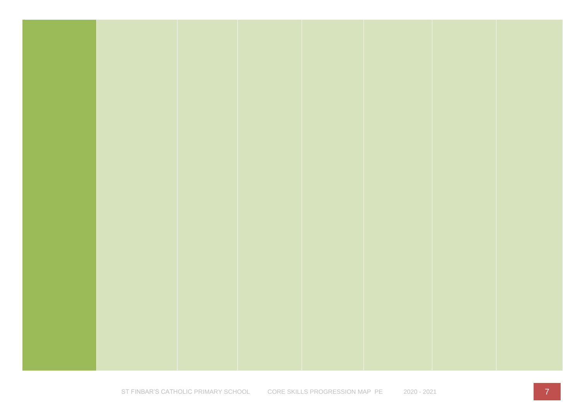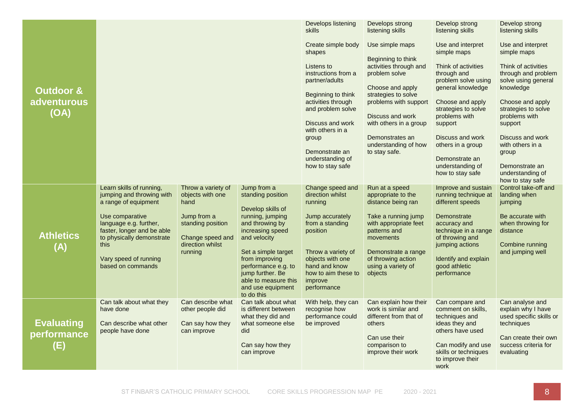| <b>Outdoor &amp;</b><br>adventurous<br>(OA)        |                                                                                                                                                                                                                                             |                                                                                                                                       |                                                                                                                                                                                                                                                                                 | Develops listening<br>skills<br>Create simple body<br>shapes<br>Listens to<br>instructions from a<br>partner/adults<br>Beginning to think<br>activities through<br>and problem solve<br>Discuss and work<br>with others in a<br>group<br>Demonstrate an<br>understanding of<br>how to stay safe | Develops strong<br>listening skills<br>Use simple maps<br>Beginning to think<br>activities through and<br>problem solve<br>Choose and apply<br>strategies to solve<br>problems with support<br>Discuss and work<br>with others in a group<br>Demonstrates an<br>understanding of how<br>to stay safe. | Develop strong<br>listening skills<br>Use and interpret<br>simple maps<br>Think of activities<br>through and<br>problem solve using<br>general knowledge<br>Choose and apply<br>strategies to solve<br>problems with<br>support<br>Discuss and work<br>others in a group<br>Demonstrate an<br>understanding of<br>how to stay safe | Develop strong<br>listening skills<br>Use and interpret<br>simple maps<br>Think of activities<br>through and problem<br>solve using general<br>knowledge<br>Choose and apply<br>strategies to solve<br>problems with<br>support<br>Discuss and work<br>with others in a<br>group<br>Demonstrate an<br>understanding of<br>how to stay safe |
|----------------------------------------------------|---------------------------------------------------------------------------------------------------------------------------------------------------------------------------------------------------------------------------------------------|---------------------------------------------------------------------------------------------------------------------------------------|---------------------------------------------------------------------------------------------------------------------------------------------------------------------------------------------------------------------------------------------------------------------------------|-------------------------------------------------------------------------------------------------------------------------------------------------------------------------------------------------------------------------------------------------------------------------------------------------|-------------------------------------------------------------------------------------------------------------------------------------------------------------------------------------------------------------------------------------------------------------------------------------------------------|------------------------------------------------------------------------------------------------------------------------------------------------------------------------------------------------------------------------------------------------------------------------------------------------------------------------------------|--------------------------------------------------------------------------------------------------------------------------------------------------------------------------------------------------------------------------------------------------------------------------------------------------------------------------------------------|
| <b>Athletics</b><br>(A)                            | Learn skills of running,<br>jumping and throwing with<br>a range of equipment<br>Use comparative<br>language e.g. further,<br>faster, longer and be able<br>to physically demonstrate<br>this<br>Vary speed of running<br>based on commands | Throw a variety of<br>objects with one<br>hand<br>Jump from a<br>standing position<br>Change speed and<br>direction whilst<br>running | Jump from a<br>standing position<br>Develop skills of<br>running, jumping<br>and throwing by<br>increasing speed<br>and velocity<br>Set a simple target<br>from improving<br>performance e.g. to<br>jump further. Be<br>able to measure this<br>and use equipment<br>to do this | Change speed and<br>direction whilst<br>running<br>Jump accurately<br>from a standing<br>position<br>Throw a variety of<br>objects with one<br>hand and know<br>how to aim these to<br>improve<br>performance                                                                                   | Run at a speed<br>appropriate to the<br>distance being ran<br>Take a running jump<br>with appropriate feet<br>patterns and<br>movements<br>Demonstrate a range<br>of throwing action<br>using a variety of<br>objects                                                                                 | Improve and sustain<br>running technique at<br>different speeds<br>Demonstrate<br>accuracy and<br>technique in a range<br>of throwing and<br>jumping actions<br>Identify and explain<br>good athletic<br>performance                                                                                                               | Control take-off and<br>landing when<br>jumping<br>Be accurate with<br>when throwing for<br>distance<br>Combine running<br>and jumping well                                                                                                                                                                                                |
| <b>Evaluating</b><br>performance<br>$\mathsf{(E)}$ | Can talk about what they<br>have done<br>Can describe what other<br>people have done                                                                                                                                                        | Can describe what<br>other people did<br>Can say how they<br>can improve                                                              | Can talk about what<br>is different between<br>what they did and<br>what someone else<br>did<br>Can say how they<br>can improve                                                                                                                                                 | With help, they can<br>recognise how<br>performance could<br>be improved                                                                                                                                                                                                                        | Can explain how their<br>work is similar and<br>different from that of<br>others<br>Can use their<br>comparison to<br>improve their work                                                                                                                                                              | Can compare and<br>comment on skills,<br>techniques and<br>ideas they and<br>others have used<br>Can modify and use<br>skills or techniques<br>to improve their<br>work                                                                                                                                                            | Can analyse and<br>explain why I have<br>used specific skills or<br>techniques<br>Can create their own<br>success criteria for<br>evaluating                                                                                                                                                                                               |